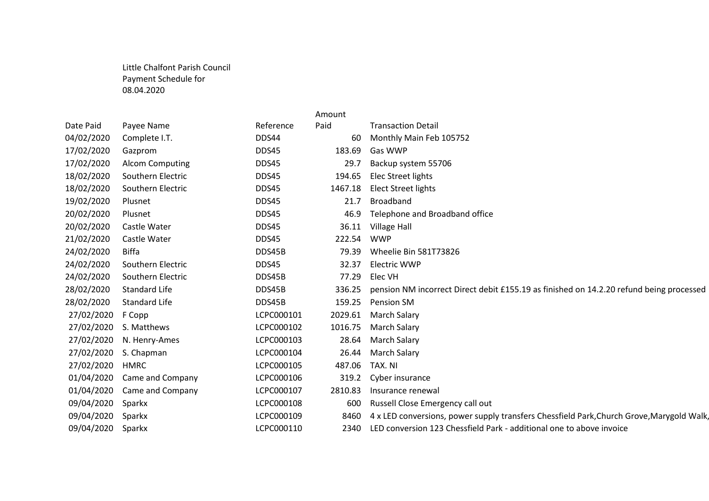## Little Chalfont Parish Council Payment Schedule for 08.04.2020

|            |                        |            | Amount  |                                                                                           |  |
|------------|------------------------|------------|---------|-------------------------------------------------------------------------------------------|--|
| Date Paid  | Payee Name             | Reference  | Paid    | <b>Transaction Detail</b>                                                                 |  |
| 04/02/2020 | Complete I.T.          | DDS44      | 60      | Monthly Main Feb 105752                                                                   |  |
| 17/02/2020 | Gazprom                | DDS45      | 183.69  | Gas WWP                                                                                   |  |
| 17/02/2020 | <b>Alcom Computing</b> | DDS45      | 29.7    | Backup system 55706                                                                       |  |
| 18/02/2020 | Southern Electric      | DDS45      | 194.65  | Elec Street lights                                                                        |  |
| 18/02/2020 | Southern Electric      | DDS45      | 1467.18 | <b>Elect Street lights</b>                                                                |  |
| 19/02/2020 | Plusnet                | DDS45      | 21.7    | <b>Broadband</b>                                                                          |  |
| 20/02/2020 | Plusnet                | DDS45      | 46.9    | Telephone and Broadband office                                                            |  |
| 20/02/2020 | Castle Water           | DDS45      | 36.11   | Village Hall                                                                              |  |
| 21/02/2020 | Castle Water           | DDS45      | 222.54  | <b>WWP</b>                                                                                |  |
| 24/02/2020 | Biffa                  | DDS45B     | 79.39   | Wheelie Bin 581T73826                                                                     |  |
| 24/02/2020 | Southern Electric      | DDS45      | 32.37   | Electric WWP                                                                              |  |
| 24/02/2020 | Southern Electric      | DDS45B     | 77.29   | Elec VH                                                                                   |  |
| 28/02/2020 | <b>Standard Life</b>   | DDS45B     | 336.25  | pension NM incorrect Direct debit £155.19 as finished on 14.2.20 refund being processed   |  |
| 28/02/2020 | <b>Standard Life</b>   | DDS45B     | 159.25  | Pension SM                                                                                |  |
| 27/02/2020 | F Copp                 | LCPC000101 | 2029.61 | <b>March Salary</b>                                                                       |  |
| 27/02/2020 | S. Matthews            | LCPC000102 | 1016.75 | March Salary                                                                              |  |
| 27/02/2020 | N. Henry-Ames          | LCPC000103 | 28.64   | <b>March Salary</b>                                                                       |  |
| 27/02/2020 | S. Chapman             | LCPC000104 | 26.44   | <b>March Salary</b>                                                                       |  |
| 27/02/2020 | <b>HMRC</b>            | LCPC000105 | 487.06  | TAX. NI                                                                                   |  |
| 01/04/2020 | Came and Company       | LCPC000106 | 319.2   | Cyber insurance                                                                           |  |
| 01/04/2020 | Came and Company       | LCPC000107 | 2810.83 | Insurance renewal                                                                         |  |
| 09/04/2020 | Sparkx                 | LCPC000108 | 600     | Russell Close Emergency call out                                                          |  |
| 09/04/2020 | Sparkx                 | LCPC000109 | 8460    | 4 x LED conversions, power supply transfers Chessfield Park, Church Grove, Marygold Walk, |  |
| 09/04/2020 | Sparkx                 | LCPC000110 | 2340    | LED conversion 123 Chessfield Park - additional one to above invoice                      |  |